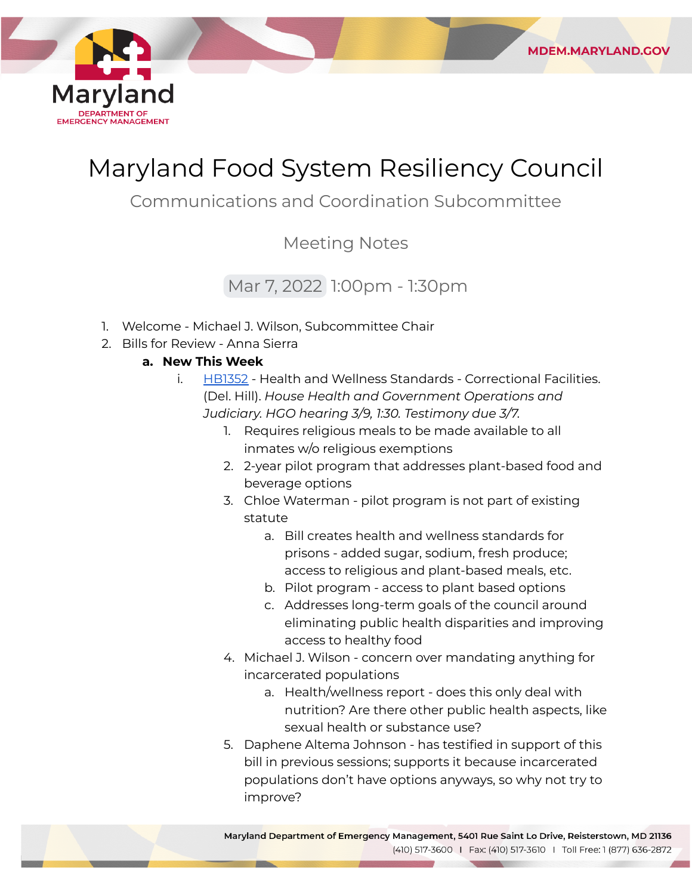

# Maryland Food System Resiliency Council

## Communications and Coordination Subcommittee

### Meeting Notes

## Mar 7, 2022 1:00pm - 1:30pm

- 1. Welcome Michael J. Wilson, Subcommittee Chair
- 2. Bills for Review Anna Sierra

#### **a. New This Week**

- i. [HB1352](https://mgaleg.maryland.gov/mgawebsite/Legislation/Details/hb1352) Health and Wellness Standards Correctional Facilities.  (Del. Hill). *House Health and Government Operations and Judiciary. HGO hearing 3/9, 1:30. Testimony due 3/7.*
	- 1. Requires religious meals to be made available to all inmates w/o religious exemptions
	- 2. 2-year pilot program that addresses plant-based food and beverage options

**MDEM.MARYLAND.GOV** 

- 3. Chloe Waterman pilot program is not part of existing statute
	- a. Bill creates health and wellness standards for prisons - added sugar, sodium, fresh produce; access to religious and plant-based meals, etc.
	- b. Pilot program access to plant based options
	- c. Addresses long-term goals of the council around eliminating public health disparities and improving access to healthy food
- 4. Michael J. Wilson concern over mandating anything for incarcerated populations
	- a. Health/wellness report does this only deal with nutrition? Are there other public health aspects, like sexual health or substance use?
- 5. Daphene Altema Johnson has testified in support of this bill in previous sessions; supports it because incarcerated populations don't have options anyways, so why not try to improve?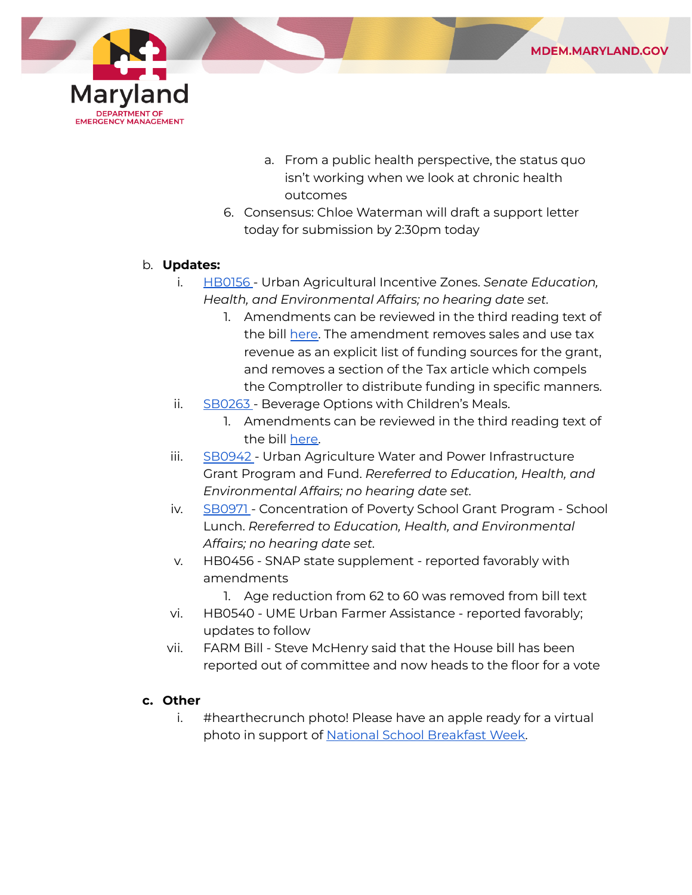

- a. From a public health perspective, the status quo isn't working when we look at chronic health outcomes
- 6. Consensus: Chloe Waterman will draft a support letter today for submission by 2:30pm today

#### b. **Updates:**

- i. [HB0156](https://mgaleg.maryland.gov/mgawebsite/Legislation/Details/hb0156?ys=2022RS) Urban Agricultural Incentive Zones. *Senate Education, Health, and Environmental Affairs; no hearing date set.*
	- 1. Amendments can be reviewed in the third reading text of the bill <u>here</u>. The amendment removes sales and use tax revenue as an explicit list of funding sources for the grant, and removes a section of the Tax article which compels the Comptroller to distribute funding in specific manners.
- ii. <u>[SB0263](https://mgaleg.maryland.gov/mgawebsite/Legislation/Details/sb0263?ys=2022RS)</u> Beverage Options with Children's Meals.
	- 1. Amendments can be reviewed in the third reading text of the bill [here.](https://mgaleg.maryland.gov/2022RS/bills/sb/sb0263t.pdf)
- iii. [SB0942](https://mgaleg.maryland.gov/mgawebsite/Legislation/Details/sb0942?ys=2022RS) Urban Agriculture Water and Power Infrastructure Grant Program and Fund. *Rereferred to Education, Health, and Environmental Affairs; no hearing date set.*
- iv. [SB0971](https://mgaleg.maryland.gov/mgawebsite/Legislation/Details/sb0971?ys=2022RS) Concentration of Poverty School Grant Program School  Lunch. *Rereferred to Education, Health, and Environmental Affairs; no hearing date set.*
- v. HB0456 SNAP state supplement reported favorably with amendments
	- 1. Age reduction from 62 to 60 was removed from bill text
- vi. HB0540 UME Urban Farmer Assistance reported favorably; updates to follow
- vii. FARM Bill Steve McHenry said that the House bill has been reported out of committee and now heads to the floor for a vote

#### **c. Other**

 i. #hearthecrunch photo! Please have an apple ready for a virtual photo in support of [National School Breakfast Week.](https://www.mdhungersolutions.org/federal-nutrition-programs/school-breakfast-program-sbp/hearthemarylandcrunch/)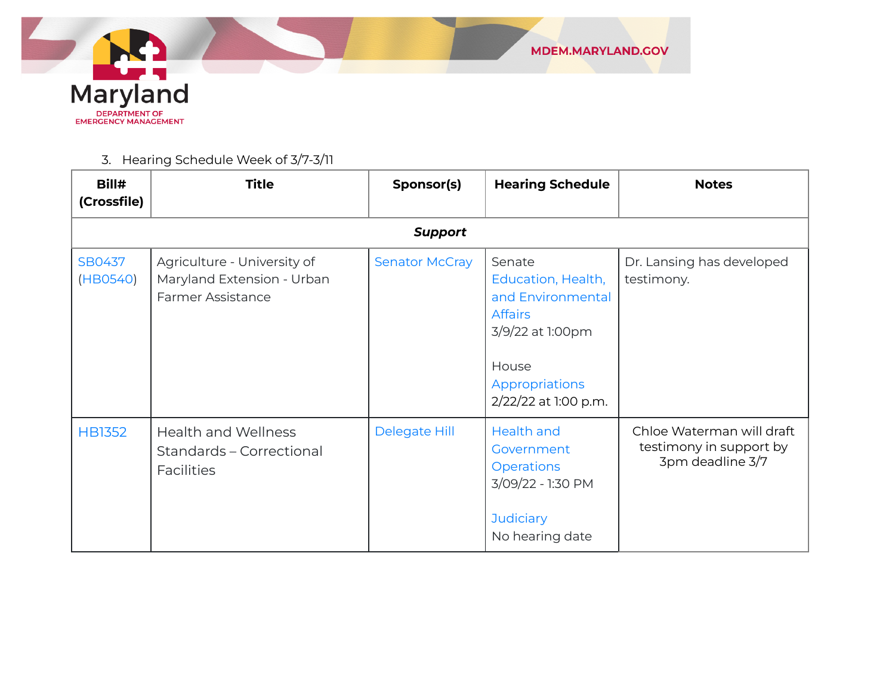

#### 3. Hearing Schedule Week of 3/7-3/11

| Bill#<br>(Crossfile) | <b>Title</b>                                                                          | Sponsor(s)            | <b>Hearing Schedule</b>                                                                                                                    | <b>Notes</b>                                                             |  |  |  |
|----------------------|---------------------------------------------------------------------------------------|-----------------------|--------------------------------------------------------------------------------------------------------------------------------------------|--------------------------------------------------------------------------|--|--|--|
| <b>Support</b>       |                                                                                       |                       |                                                                                                                                            |                                                                          |  |  |  |
| SB0437<br>(HB0540)   | Agriculture - University of<br>Maryland Extension - Urban<br><b>Farmer Assistance</b> | <b>Senator McCray</b> | Senate<br>Education, Health,<br>and Environmental<br><b>Affairs</b><br>3/9/22 at 1:00pm<br>House<br>Appropriations<br>2/22/22 at 1:00 p.m. | Dr. Lansing has developed<br>testimony.                                  |  |  |  |
| <b>HB1352</b>        | <b>Health and Wellness</b><br>Standards - Correctional<br><b>Facilities</b>           | Delegate Hill         | Health and<br>Government<br><b>Operations</b><br>3/09/22 - 1:30 PM<br><b>Judiciary</b><br>No hearing date                                  | Chloe Waterman will draft<br>testimony in support by<br>3pm deadline 3/7 |  |  |  |